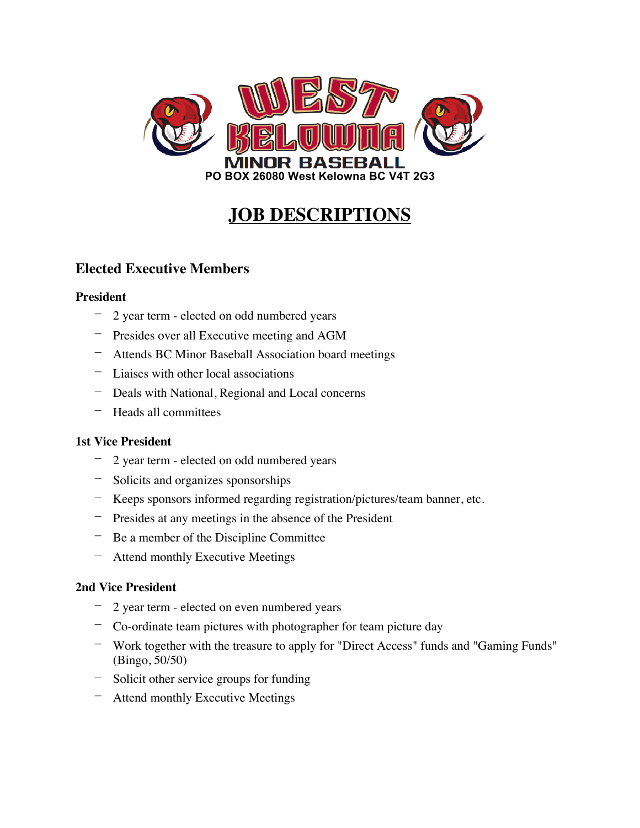

# **JOB DESCRIPTIONS**

# **Elected Executive Members**

## **President**

- 2 year term elected on odd numbered years
- Presides over all Executive meeting and AGM
- Attends BC Minor Baseball Association board meetings
- Liaises with other local associations
- Deals with National, Regional and Local concerns
- Heads all committees

## **1st Vice President**

- 2 year term elected on odd numbered years
- Solicits and organizes sponsorships
- Keeps sponsors informed regarding registration/pictures/team banner, etc.
- Presides at any meetings in the absence of the President
- Be a member of the Discipline Committee
- Attend monthly Executive Meetings

## **2nd Vice President**

- 2 year term elected on even numbered years
- Co-ordinate team pictures with photographer for team picture day
- Work together with the treasure to apply for "Direct Access" funds and "Gaming Funds" (Bingo, 50/50)
- Solicit other service groups for funding
- Attend monthly Executive Meetings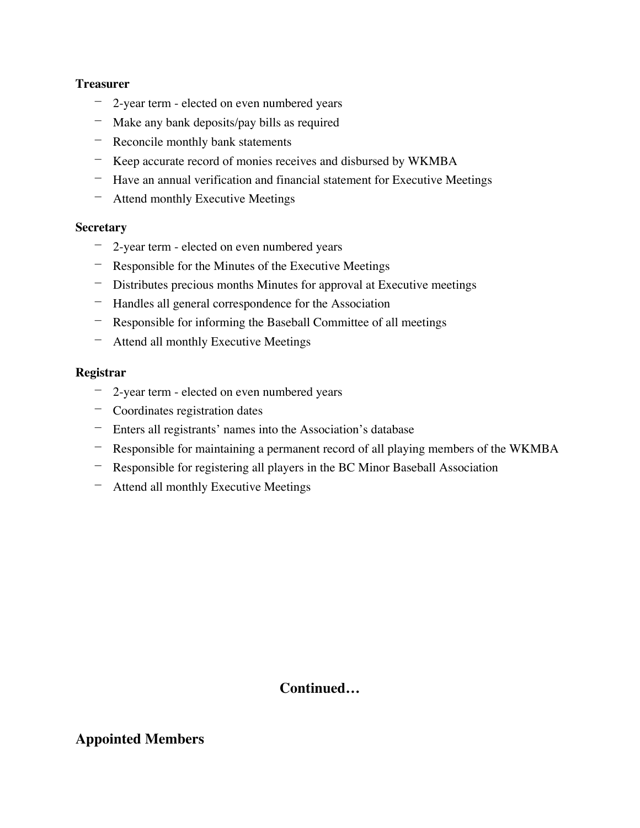## **Treasurer**

- 2-year term elected on even numbered years
- Make any bank deposits/pay bills as required
- Reconcile monthly bank statements
- Keep accurate record of monies receives and disbursed by WKMBA
- Have an annual verification and financial statement for Executive Meetings
- Attend monthly Executive Meetings

#### **Secretary**

- 2-year term elected on even numbered years
- Responsible for the Minutes of the Executive Meetings
- Distributes precious months Minutes for approval at Executive meetings
- Handles all general correspondence for the Association
- Responsible for informing the Baseball Committee of all meetings
- Attend all monthly Executive Meetings

## **Registrar**

- 2-year term elected on even numbered years
- Coordinates registration dates
- Enters all registrants' names into the Association's database
- Responsible for maintaining a permanent record of all playing members of the WKMBA
- Responsible for registering all players in the BC Minor Baseball Association
- Attend all monthly Executive Meetings

## **Continued…**

## **Appointed Members**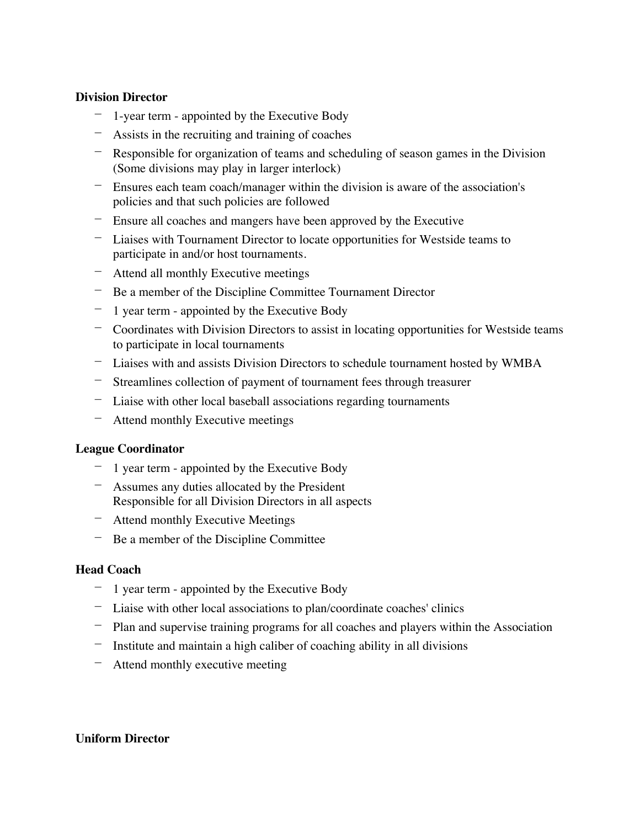## **Division Director**

- 1-year term appointed by the Executive Body
- Assists in the recruiting and training of coaches
- Responsible for organization of teams and scheduling of season games in the Division (Some divisions may play in larger interlock)
- Ensures each team coach/manager within the division is aware of the association's policies and that such policies are followed
- Ensure all coaches and mangers have been approved by the Executive
- Liaises with Tournament Director to locate opportunities for Westside teams to participate in and/or host tournaments.
- Attend all monthly Executive meetings
- Be a member of the Discipline Committee Tournament Director
- 1 year term appointed by the Executive Body
- Coordinates with Division Directors to assist in locating opportunities for Westside teams to participate in local tournaments
- Liaises with and assists Division Directors to schedule tournament hosted by WMBA
- Streamlines collection of payment of tournament fees through treasurer
- Liaise with other local baseball associations regarding tournaments
- Attend monthly Executive meetings

## **League Coordinator**

- 1 year term appointed by the Executive Body
- Assumes any duties allocated by the President Responsible for all Division Directors in all aspects
- Attend monthly Executive Meetings
- Be a member of the Discipline Committee

## **Head Coach**

- 1 year term appointed by the Executive Body
- Liaise with other local associations to plan/coordinate coaches' clinics
- Plan and supervise training programs for all coaches and players within the Association
- Institute and maintain a high caliber of coaching ability in all divisions
- Attend monthly executive meeting

## **Uniform Director**